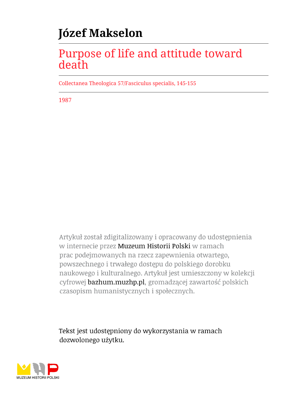# **Józef Makselon**

## Purpose of life and attitude toward death

Collectanea Theologica 57/Fasciculus specialis, 145-155

1987

Artykuł został zdigitalizowany i opracowany do udostępnienia w internecie przez Muzeum Historii Polski w ramach prac podejmowanych na rzecz zapewnienia otwartego, powszechnego i trwałego dostępu do polskiego dorobku naukowego i kulturalnego. Artykuł jest umieszczony w kolekcji cyfrowej bazhum.muzhp.pl, gromadzącej zawartość polskich czasopism humanistycznych i społecznych.

Tekst jest udostępniony do wykorzystania w ramach dozwolonego użytku.

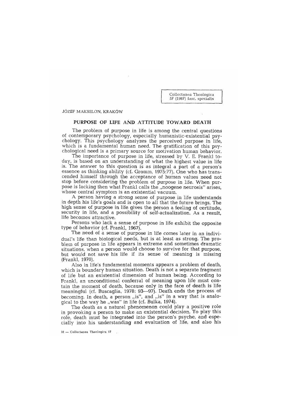**C ollectanea T heologica 57 (1987) fasc. sp ecialis**

JÓZEF MAKSELON, KRAKÓW

## PURPOSE OF LIFE AND ATTITUDE TOWARD DEATH

The problem of purpose in life is among the central questions of contemporary psychology, especially humanistic-existential psychology. This psychology analyzes the perceived purpose in life, which is a fundamental human need. The gratification of this psychological need is a primary source for motivation human behavior.

The importance of purpose in life, stressed by V. E. Frankl today, is based on an understanding of w hat the highest value in life is. The answer to this question is as integral a part of a person's essence as thinking ability (cf. Gromm,  $1975:77$ ). One who has transcended himself through the acceptance of human values need not stop before considering the problem of purpose in life. When purpose is lacking then what Frankl calls the "noogene neurosis" arises. whose central symptom is an existential vacuum.

A person having a strong sense of purpose in life understands in depth his life's goals and is open to all that the future brings. The high sense of purpose in life gives the person a feeling of certitude, security in life, and a possibility of self-actualization. As a result, life becomes attractive.

Persons who lack a sense of purpose in life exhibit the opposite type of behavior (cf. Frankl, 1967).

The need of a sense of purpose in life comes later in an individual's life than biological needs, but is at least as strong. The problem of purpose in life appears in extreme and sometimes dramatic situations, when a person would choose to survive for that purpose, but would not save his life if its sense of meaning is missing (Frankl, 1970).

Also in life's fundamental moments appears a problem of death, which is boundary human situation. Death is not a separate fragment of life but an existential dimension of human being. According to Frankl, an unconditional conferral of meaning upon life must contain the moment of death, because only in the face of death is life meaningful (cf. Buscaglia, 1978: 93-97). Death ends the process of becoming. In death, a person  $_{ij}$ is", and  $_{ij}$ is" in a way that is analogical to the way he  $_{1}$  was" in life (cf. Bulka, 1974).

The death as a natural phenomenon could play a positive role in provoking a person to make an existential decision. To play this role, death must be integrated into the person's psyche, and especially into his understanding and evaluation of life, and also his

 $10 -$  Collectanea Theologica 87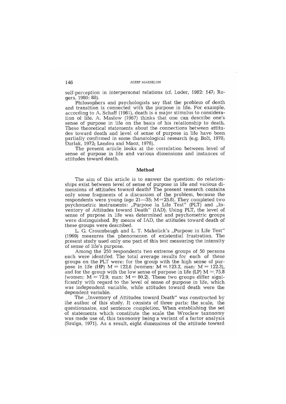self-perception in interpersonal relations (cf. Loder, 1982: 147; Rogers, 1980: 88).

Philosophers and psychologists say that the problem of death and transition is connected with the purpose in life. For example, according to A. Schaff  $(1961)$ , death is a major stimulus to consideration of life. A. Maslow (1967) thinks that one can describe one's sense of purpose in life on the basis of his relationship to death. These theoretical statements about the connections between attitudes tow ard death and level of sense of purpose in life have been partially confirmed in some thanatological research (e.g. Bolt, 1978; Durlak, 1972; Landau and Maoz, 1978).

The present article looks at the correlation between level of sense of purpose in life and various dimensions and instances of attitudes tow ard death.

## **Method**

The aim of this article is to answer the question: do relationships exist betw een level of sense of purpose in life and various dimensions of attitudes toward death? The present research contains only some fragments of a discussion of the problem, because the respondents were young (age  $21-35$ ; M=25.8). They completed two psychometric instruments: "Purpose in Life Test" (PLT) and "Inventory of Attitudes toward Death" (IAD). Using PLT, the level of sense of purpose in life was determined and psychometric groups were distinguished. By means of IAD, the attitudes toward death of these groups were described.

L. G. Croumbaugh and L. T. Maholick's <sub>u</sub>Purpose in Life Test" (1969) measures the phenomenon of existential frustration. The present study used only one part of this test measuring the intensity of sense of life's purpose.

Among the 250 respondents two extreme groups of 50 persons each were identifed. The total average results for each of these groups on the PLT were: for the group with the high sense of purpose in life (HP)  $M = 122.6$  (women:  $M = 123.2$ , man:  $M = 122.3$ ), and for the group with the low sense of purpose in life (LP)  $M = 75.8$ (women:  $M = 72.9$ , man:  $M = 80.2$ ). These two groups differ significantly with regard to the level of sense of purpose in life, which was independent variable, while attitudes toward death were the dependent variable.

The "Inventory of Attitudes toward Death" was constructed by the author of this study. It consists of three parts: the scale, the questionnaire, and sentence completion. W hen establishing the set of statements which constitute the scale the Wroclaw taxonomy was made use of, this taxonomy being a variant of a factor analysis (Szulga, 1971). As a result, eight dimensions of the attitude toward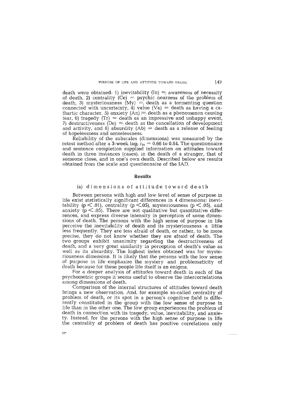death were obtained: 1) inevitability  $(\text{In}) =$  aw areness of necessity of death, 2) centrality (Ce) = psychic nearness of the problem of death, 3) mysteriousness  $(My) = \text{death}$  as a tormenting question connected with uncertainty, 4) value (Va) = death as having a cathartic character, 5) anxiety  $(An) \rightleftharpoons$  death as a phenomenon causing fear, 6) tragedy  $(Tr)$  = death as an impressive and unhappy event, 7) destructiveness (De) = death as the cancellation of development and activity, and 8) absurdity (Ab) = death as a release of feeling of hopelessness and senselessness.

Reliability of the subscales (dimensions) was measured by the retest method after a 3-week lag;  $r_{tt} = 0.66$  to 0.84. The questionnaire and sentence completion supplied information on attitudes toward death in three instances (cases), in the death of a stranger, that of someone close, and in one's own death. Described below are results obtained from the scale and questionnaire of the IAD.

## **Results**

## (a) dimensions of attitude toward death

Between persons with high and low level of sense of purpose in life exist statistically significant differences in 4 dimensions: inevitability ( $p < 0.01$ ), centrality ( $p < 0.05$ ), mysteriousness ( $p < 0.05$ ), and anxiety  $(p < .05)$ . There are not qualitative but quantitative differences, and express diverse intensity in perception of some dimensions of death. The persons with the high sense of purpose in life perceive the inevitability of death and its mysteriousness a little less frequently. They are less afraid of death, or rather, to be more precise, they do not know w hether they are afraid of death. The two groups exhibit unanimity regarding the destructiveness of death, and a very great similarity in perception of death's value as well as its absurdity. The highest index obtained was for mysteriousness dimension. It is likely that the persons with the low sense of purpose in life emphasize the mystery and problematicity of death because for these people life itself is an enigma.

For a deeper analysis of attitudes toward death in each of the psychometric groups it seems useful to observe the intercorrelations among dimensions of death.

Comparison of the internal structures of attitudes toward death brings a new observation. And, for example so-called centrality of problem of death, or its spot in a person's cognitive field is differently constituted in the group with the low sense of purpose in life than in the other one. The low group experiences the problem of death in connection with its tragedy, value, inevitability, and anxiety. Instead, for the persons with the high sense of purpose in life the centrality of problem of death has positive correlations only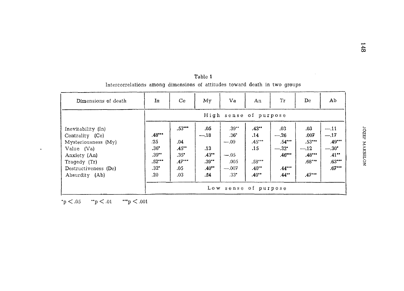| Dimensions of death                                                                                                                                  | In                                                                | Ce.                                                             | My                                                            | Va                                                                                                | An                                                                  | Tr                                                                      | De                                                                    | Ab                                                                         |  |
|------------------------------------------------------------------------------------------------------------------------------------------------------|-------------------------------------------------------------------|-----------------------------------------------------------------|---------------------------------------------------------------|---------------------------------------------------------------------------------------------------|---------------------------------------------------------------------|-------------------------------------------------------------------------|-----------------------------------------------------------------------|----------------------------------------------------------------------------|--|
|                                                                                                                                                      | High sense of purpose                                             |                                                                 |                                                               |                                                                                                   |                                                                     |                                                                         |                                                                       |                                                                            |  |
| Inevitability (In)<br>Centrality (Ce)<br>Mysteriousness (My)<br>Value (Va)<br>Anxiety (An)<br>Tragedy (Tr)<br>Destructiveness (De)<br>Absurdity (Ab) | $.48***$<br>.25<br>$.36*$<br>$.39**$<br>$.52***$<br>$.32*$<br>.20 | $.53***$<br>.04<br>$.45***$<br>$.35*$<br>$.47***$<br>.05<br>.03 | .05<br>$-.18$<br>.13<br>$.43**$<br>$.39***$<br>$.40**$<br>.24 | $.39**$<br>$.36*$<br>$-.09$<br>$-.05$<br>.005<br>$-.007$<br>$.33^{\circ}$<br>Low sense of purpose | $.43**$<br>.14<br>$.45***$<br>.15<br>$.58***$<br>$.40**$<br>$.40**$ | .03<br>$-.26$<br>$.54***$<br>$-.32*$<br>$.46***$<br>$.44***$<br>$.44**$ | .03<br>.007<br>$.53***$<br>$-.12$<br>$.48***$<br>$.68***$<br>$.47***$ | $-.11$<br>$-.17$<br>$.49***$<br>$-.30*$<br>$.41**$<br>$.63***$<br>$.67***$ |  |

Table 1 Intercorrelations among dimensions of attitudes toward death in two groups

 $\mathbf{\dot{p}}<.05$   $\qquad$   $\mathbf{\dot{r}}$   $\mathbf{p}<.01$   $\qquad$   $\mathbf{\dot{r}}$   $\mathbf{\dot{r}}$   $\mathbf{\dot{p}}$   $<.001$ 

 $\tilde{\phantom{a}}$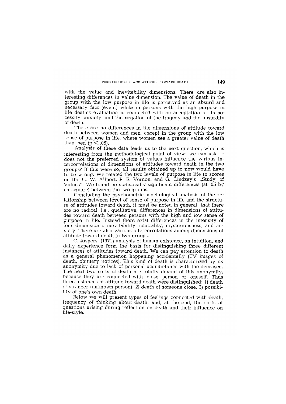with the value and inevitability dimensions. There are also interesting differences in value dimension. The value of death in the group with the low purpose in life is perceived as an absurd and necessary fact (event) while in persons with the high purpose in life death's evaluation is connected with an acceptation of its necessity, anxiety, and the negation of the tragedy and the absurdity of death.

There are no differences in the dimensions of attitude toward death between women and men, except in the group with the low sense of purpose in life, where women see a greater value of death than men ( $p < .05$ ).

Analysis of these data leads us to the next question, which is interesting from the methodological point of view: we can ask  $$ does not the preferred system of values influence the various intercorrelations of dimensions of attitudes toward death in the two groups? If this were so, all results obtained up to now would have to be wrong. We related the two levels of purpose in life to scores on the G. W. Allport, P. E. Vernon, and G. Lindzey's  $\mathcal{G}$ , Study of Values". We found no statistically significant differences (at .05 by chi-square) between the two groups.

Concluding the psychometric-psychological analysis of the relationship between level of sense of purpose in life and the structure of attitudes toward death, it must be noted in general, that there are no radical, i.e., qualitative, differences in dimensions of attitudes tow ard death betw een persons w ith the high and low sense of purpose in life. Instead there exist differences in the intensity of four dimensions: inevitability, centrality, mysteriousness, and anxiety. There are also various intercorrelations among dimensions of attitude toward death in two groups.

C. Jaspers' (1971) analysis of human existence, an intuition, and daily experience form the basis for distinguishing three different instances of attitudes toward death. We can pay attention to death as a general phenomenon happening accidentally (TV images of death, obituary notices). This kind of death is characterized by its anonymity due to lack of personal acquaintance with the deceased. The next two sorts of death are totally devoid of this anonymity, because they are connected with close person or oneself. Thus three instances of attitude toward death were distinguished: 1) death of stranger (unknown person), 2) death of someone close, 3) possibility of one's own death.

Below we will present types of feelings connected with death, frequency of thinking about death, and, at the end, the sorts of questions arising during reflection on death and their influence on life-style.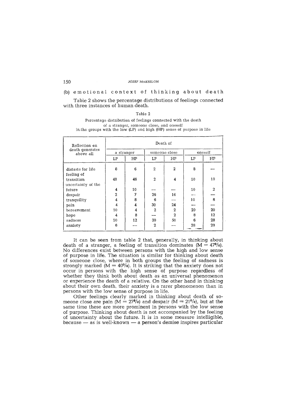JÓZEE MAKSELON

(b) emotional context of thinking about death

Table 2 shows the percentage distributions of feelings connected with three instances of human death.

## **T able 2**

## Percentage distribution of feelings connected with the death **of a stranger, som eone close, and oneself** in the groups with the low (LP) and high (HP) sense of purpose in life

| Reflection on<br>death generates<br>above all | Death of       |    |                |                |         |    |  |
|-----------------------------------------------|----------------|----|----------------|----------------|---------|----|--|
|                                               | a stranger     |    | someone close  |                | oneself |    |  |
|                                               | LP             | HP | LP.            | HP             | LP      | HP |  |
| distaste for life<br>feeling of               | 8              | 6  | $\overline{2}$ | $\overline{2}$ | 8       |    |  |
| transition<br>uncertainty of the              | 48             | 46 | $\overline{2}$ | 4              | 10      | 10 |  |
| future                                        | 4              | 10 |                |                | 10      | 2  |  |
| despair                                       | $\overline{2}$ | 7  | 26             | 16             |         |    |  |
| tranquility                                   | 4              | 8  | 6              |                | 10      | 8  |  |
| pain                                          | $\overline{4}$ | 4  | 30             | 24             |         |    |  |
| bereavement                                   | 10             | 4  | $\mathbf{2}$   | $\cdot$ 2      | 20      | 20 |  |
| hope                                          | 4              | 8  |                | $\mathbf{2}$   | 8       | 12 |  |
| sadness                                       | 10             | 12 | 30             | 50             | 6       | 28 |  |
| anxiety                                       | 6              |    | $\mathbf{2}$   |                | 28      | 20 |  |

It can be seen from table 2 that, generally, in thinking about death of a stranger, a feeling of transition dominates  $(M = 470/0)$ . No differences exist between persons with the high and low sense of purpose in life. The situation is similar for thinking about death of som eone close, w here in both groups the feeling of sadness is strongly marked  $(M = 40<sup>0</sup>/0)$ . It is striking that the anxiety does not occur in persons with the high sense of purpose regardless of whether they think both about death as an universal phenomenon or experience the death of a relative. On the other hand in thinking about their own death, their anxiety is a rarer phenomenon than in persons with the low sense of purpose in life.

Other feelings clearly marked in thinking about death of someone close are pain ( $M = 27\%$ ) and despair ( $\overline{M} = 21\%$ ), but at the same time these are more prominent in persons with the low sense of purpose. Thinking about death is not accompanied by the feeling of uncertainty about the future. It is in some measure intelligible, because  $-$  as is well-known  $-$  a person's demise inspires particular

150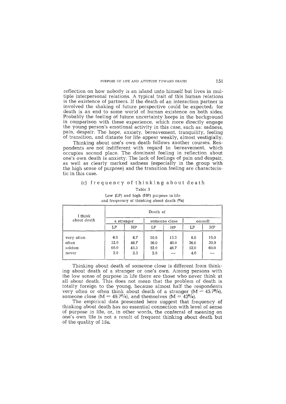reflection on how nobody is an island unto himself but lives in multiple interpersonal relations. A typical trait of this human relations is the existence of partners. If the death of an interaction partner is involved the shaking of future perspective could be expected; for death is an end to some world of human existence on both sides. Probably the feeling of future uncertainty keeps in the background in comparison with these experience, which more directly engage the young person's em otional activity in this case, such as: sadness, pain, despair. The hope, anxiety, bereavement, tranquility, feeling of transition, and distaste for life appear weakly, almost vestigially.

Thinking about one's own death follows another courses. Respondents are not indifferent with regard to bereavement, which occupies second place. The dominant feeling in reflection about one's own death is anxiety. The lack of feelings of pain and despair, as well as clearly marked sadness (especially in the group with the high sense of purpose) and the transition feeling are characteristic in this case.

## (c) frequency of thinking about death

**Table 3**

| I think<br>about death |            | Death of |               |      |         |      |  |  |  |
|------------------------|------------|----------|---------------|------|---------|------|--|--|--|
|                        | a stranger |          | someone close |      | oneself |      |  |  |  |
|                        | LΡ         | HP       | LP            | HP   | LP      | HP   |  |  |  |
| very often             | 6.0        | 6.7      | 10.0          | 13.3 | 8.0     | 10.0 |  |  |  |
| often                  | 32.0       | 46.7     | 36.0          | 40.0 | 36.0    | 30,0 |  |  |  |
| seldom                 | 60.0       | 43,3     | 52.0          | 46.7 | 52.0    | 60.0 |  |  |  |
| never                  | 2.0        | 3.3      | 2.0           |      | 4.0     |      |  |  |  |

**Low (LP) and high (HP) purpose in life** and frequency of thinking about death  $(0/0)$ 

Thinking about death of someone close is different from thinking about death of a stranger or one's own. Among persons with the low sense of purpose in life there are those who never think at all about death. This does not mean that the problem of death is totally foreign to the young, because alm ost half the respondents very often or often think about death of a stranger  $(M = 45.7\%)$ , someone close  $(M = 49.7\frac{q}{q})$ , and themselves  $(M = 42\frac{q}{q})$ .

The empirical data presented here suggest that frequency of thinking about death has no essential connection with level of sense of purpose in life, or, in other words, the conferral of meaning on one's own life is not a result of frequent thinking about death but of the quality of life.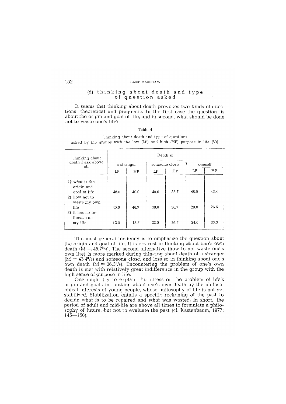#### **JOZEF MAKSELON**

## $(d)$  thinking about death and type of question asked

It seems that thinking about death provokes two kinds of questions: theoretical and pragmatic. In the first case the question is about the origin and goal of life, and in second, what should be done not to waste one's life?

## **Table 4**

Thinking about death and type of questions asked by the groups with the low  $(LP)$  and high  $(HP)$  purpose in life  $(9/6)$ 

| Thinking about<br>death I ask above<br>all                                                                                         | Death of             |                      |                      |                      |                      |                      |  |  |
|------------------------------------------------------------------------------------------------------------------------------------|----------------------|----------------------|----------------------|----------------------|----------------------|----------------------|--|--|
|                                                                                                                                    | a stranger           |                      | someone close        |                      | oneself              |                      |  |  |
|                                                                                                                                    | LΡ                   | HP                   | L <sub>P</sub>       | HP                   | LP                   | HP                   |  |  |
| 1) what is the<br>origin and<br>goal of life<br>2) how not to<br>waste my own<br>life<br>3) it has no in-<br>fluence on<br>my life | 48.0<br>40.0<br>12.0 | 40.0<br>46.7<br>13.3 | 40.0<br>38.0<br>22.0 | 36.7<br>36.7<br>26.6 | 48.0<br>28.0<br>24.0 | 43.4<br>26.6<br>30.0 |  |  |

The most general tendency is to emphasize the question about the origin and goal of life. It is clearest in thinking about one's own death  $\tilde{M} = 45.7\%$ . The second alternative (how to not waste one's own life) is more marked during thinking about death of a stranger  $(M = 43.4\%)$  and someone close, and less so in thinking about one's own death  $(M = 26.3\%)$ . Encountering the problem of one's own death is met with relatively great indifference in the group with the high sense of purpose in life.

One might try to explain this stress on the problem of life's origin and goals in thinking about one's own death by the philosophical interests of young people, whose philosophy of life is not yet stabilized. Stabilization entails a specific reckoning of the past to decide what is to be repaired and what was wasted; in short, the period of adult and mid-life are above all times to formulate a philosophy of future, but not to evaluate the past (cf. Kastenbaum, 1977:  $145 - 150$ .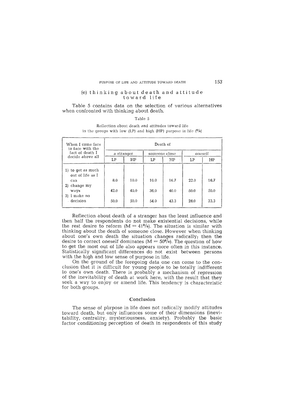## (e) thinking about death and attitude toward life

Table 5 contains data on the selection of various alternatives when confronted with thinking about death.

**T able 5**

|  | Reflection about death and attitudes toward life |                                                                   |
|--|--------------------------------------------------|-------------------------------------------------------------------|
|  |                                                  | in the groups with low (LP) and high (HP) purpose in life $(0/0)$ |

| When I come face<br>to face with the                                                                      | Death of            |                      |                      |                      |                      |                      |  |
|-----------------------------------------------------------------------------------------------------------|---------------------|----------------------|----------------------|----------------------|----------------------|----------------------|--|
| fact of death I                                                                                           | a stranger          |                      | someone close        |                      | oneself              |                      |  |
| decide above all                                                                                          | LP                  | HP                   | LP                   | HP                   | LP                   | HP                   |  |
| 1) to get as much<br>out of life as I<br>can<br>change my<br>2).<br>ways<br>I make no<br>3)<br>decision . | 8.0<br>42.0<br>50.0 | 10.0<br>40.0<br>50.0 | 10.0<br>36.0<br>54.0 | 16.7<br>40.0<br>43.3 | 22.0<br>50.0<br>28.0 | 16.7<br>50.0<br>33.3 |  |

Reflection about death of a stranger has the least influence and then half the respondents do not make existential decisions, while the rest desire to reform  $(M = 41<sup>0</sup>/0)$ . The situation is similar with thinking about the death of someone close. However when thinking about one's own death the situation changes radically; then the desire to correct oneself dominates ( $M = 50\%$ ). The question of how to get the most out of life also appears more often in this instance. Statistically significant differences do not exist between persons with the high and low sense of purpose in life.

On the ground of the foregoing data one can come to the conclusion that it is difficult for young people to be totally indifferent to one's own death. There is probably a mechanism of repression of the inevitability of death at work here, with the result that they seek a way to enjoy or amend life. This tendency is characteristic for both groups.

## Conclusion

The sense of purpose in life does not radically modify attitudes toward death, but only influences some of their dimensions (inevitability, centrality, mysteriousness, anxiety). Probably the basic factor conditioning perception of death in respondents of this study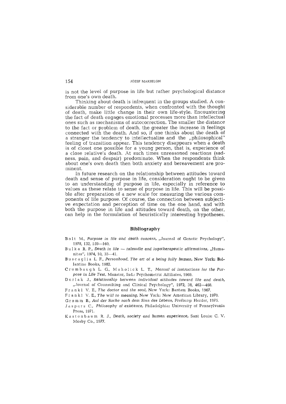is not the level of purpose in life but rather psychological distance from one's own death.

Thinking about death is infrequent in the groups studied. A considerable number of respondents, when confronted with the thought of death, make little change in their own life-style. Encountering the fact of death engages emotional processes more than intellectual ones such as mechanisms of autocorrection. The smaller the distance to the fact or problem of death, the greater the increase in feelings connected with the death. And so, if one thinks about the death of a stranger the tendency to intellectualize and the "philosophical" feeling of transition appear. This tendency disappears when a death is of closet one possible for a young person, that is, experience of a close relative's death. At such times unreasoned reactions (sadness, pain, and despair) predominate. When the respondents think about one's own death then both anxiety and bereavement are prominent.

In future research on the relationship between attitudes toward death and sense of purpose in life, consideration ought to be given to an understanding of purpose in life, especially in reference to values as these relate to sense of purpose in life. This will be possible after preparation of a new scale for measuring the various components of life purpose. Of course, the connection between subjective expectation and perception of time on the one hand, and with both the purpose in life and attitudes toward death, on the other, can help in the formulation of heuristically interesting hypotheses.

## Bibliography

- Bolt M., Purpose in life and death concern, "Journal of Genetic Psychology", 1978, 132, 159-160.
- Bulka R. P., Death in life talmudic and logotherapeutic affirmations, "Humanitas", 1974, 10, 33-41.
- Buscaglia L. F., Personhood. The art of a being fully human, New York: Ballantine Books, 1982.
- Crumbaugh L. G., Maholick L. T., Manual of instructions for the Purpose in Life Test, Munster, Ind.: Psychometric Affiliates, 1969.
- Durlak J., Relationship between individual attitudes toward life and death, "Journal of Counsulting and Clinical Psychology", 1972, 38, 462-468.
- Frankl V, E., The doctor and the soul, New York: Bantam Books, 1967.
- Frankl V. E., The will to meaning, New York: New American Library, 1970.
- Gromm B., Auf der Suche nach dem Sinn des Lebens, Freiburg: Herder, 1975.
- Jaspers C., Philosophy of existence, Philadelphia: University of Pennsylvania Press. 1971.
- Kastenbaum R. J., Death, society and human experience, Sant Louis: C. V. Mosby Co., 1977.